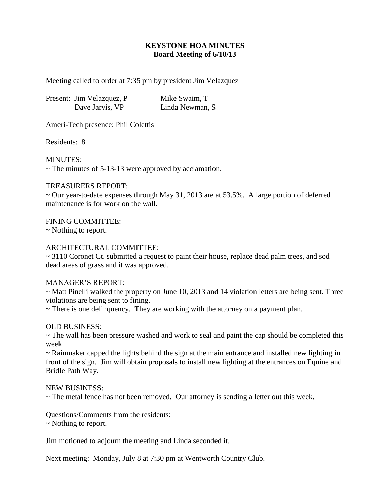# **KEYSTONE HOA MINUTES Board Meeting of 6/10/13**

Meeting called to order at 7:35 pm by president Jim Velazquez

| Present: Jim Velazquez, P | Mike Swaim, T    |
|---------------------------|------------------|
| Dave Jarvis, VP           | Linda Newman, S. |

Ameri-Tech presence: Phil Colettis

Residents: 8

MINUTES:

 $\sim$  The minutes of 5-13-13 were approved by acclamation.

## TREASURERS REPORT:

~ Our year-to-date expenses through May 31, 2013 are at 53.5%. A large portion of deferred maintenance is for work on the wall.

FINING COMMITTEE:

~ Nothing to report.

## ARCHITECTURAL COMMITTEE:

 $\sim$  3110 Coronet Ct. submitted a request to paint their house, replace dead palm trees, and sod dead areas of grass and it was approved.

### MANAGER'S REPORT:

 $\sim$  Matt Pinelli walked the property on June 10, 2013 and 14 violation letters are being sent. Three violations are being sent to fining.

~ There is one delinquency. They are working with the attorney on a payment plan.

### OLD BUSINESS:

~ The wall has been pressure washed and work to seal and paint the cap should be completed this week.

~ Rainmaker capped the lights behind the sign at the main entrance and installed new lighting in front of the sign. Jim will obtain proposals to install new lighting at the entrances on Equine and Bridle Path Way.

### NEW BUSINESS:

~ The metal fence has not been removed. Our attorney is sending a letter out this week.

Questions/Comments from the residents:

~ Nothing to report.

Jim motioned to adjourn the meeting and Linda seconded it.

Next meeting: Monday, July 8 at 7:30 pm at Wentworth Country Club.